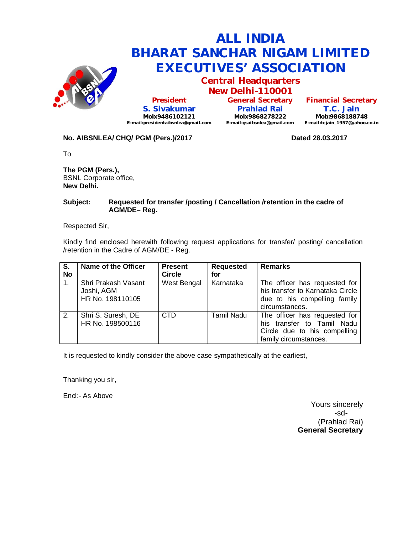

**Central Headquarters New Delhi-110001**

**President S. Sivakumar Mob:9486102121 E-mail:presidentaibsnlea@gmail.com**

**General Secretary Prahlad Rai Mob:9868278222 E-mail:gsaibsnlea@gmail.com**

**Financial Secretary T.C. Jain Mob:9868188748 E-mail:tcjain\_1957@yahoo.co.in**

## **No. AIBSNLEA/ CHQ/ PGM (Pers.)/2017 Dated 28.03.2017**

To

**The PGM (Pers.),** BSNL Corporate office, **New Delhi.**

### **Subject: Requested for transfer /posting / Cancellation /retention in the cadre of AGM/DE– Reg.**

Respected Sir,

Kindly find enclosed herewith following request applications for transfer/ posting/ cancellation /retention in the Cadre of AGM/DE - Reg.

| S.<br><b>No</b> | Name of the Officer                                   | <b>Present</b><br><b>Circle</b> | <b>Requested</b><br>for | <b>Remarks</b>                                                                                                       |
|-----------------|-------------------------------------------------------|---------------------------------|-------------------------|----------------------------------------------------------------------------------------------------------------------|
| 1.              | Shri Prakash Vasant<br>Joshi, AGM<br>HR No. 198110105 | West Bengal                     | Karnataka               | The officer has requested for<br>his transfer to Karnataka Circle<br>due to his compelling family<br>circumstances.  |
| 2.              | Shri S. Suresh, DE<br>HR No. 198500116                | C <sub>TD</sub>                 | <b>Tamil Nadu</b>       | The officer has requested for<br>his transfer to Tamil Nadu<br>Circle due to his compelling<br>family circumstances. |

It is requested to kindly consider the above case sympathetically at the earliest,

Thanking you sir,

Encl:- As Above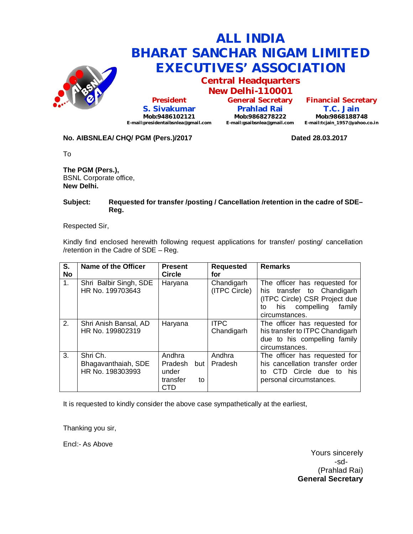

**Central Headquarters New Delhi-110001**

**President S. Sivakumar Mob:9486102121 E-mail:presidentaibsnlea@gmail.com**

**General Secretary Prahlad Rai Mob:9868278222 E-mail:gsaibsnlea@gmail.com**

**Financial Secretary T.C. Jain Mob:9868188748 E-mail:tcjain\_1957@yahoo.co.in**

## **No. AIBSNLEA/ CHQ/ PGM (Pers.)/2017 Dated 28.03.2017**

To

**The PGM (Pers.),** BSNL Corporate office, **New Delhi.**

### **Subject: Requested for transfer /posting / Cancellation /retention in the cadre of SDE– Reg.**

Respected Sir,

Kindly find enclosed herewith following request applications for transfer/ posting/ cancellation /retention in the Cadre of SDE – Reg.

| S.<br><b>No</b> | Name of the Officer                                 | <b>Present</b><br><b>Circle</b>                              | <b>Requested</b><br>for     | <b>Remarks</b>                                                                                                                                   |
|-----------------|-----------------------------------------------------|--------------------------------------------------------------|-----------------------------|--------------------------------------------------------------------------------------------------------------------------------------------------|
| 1 <sub>1</sub>  | Shri Balbir Singh, SDE<br>HR No. 199703643          | Haryana                                                      | Chandigarh<br>(ITPC Circle) | The officer has requested for<br>his transfer to Chandigarh<br>(ITPC Circle) CSR Project due<br>his compelling<br>family<br>to<br>circumstances. |
| 2.              | Shri Anish Bansal, AD<br>HR No. 199802319           | Haryana                                                      | <b>ITPC</b><br>Chandigarh   | The officer has requested for<br>his transfer to ITPC Chandigarh<br>due to his compelling family<br>circumstances.                               |
| 3.              | Shri Ch.<br>Bhagavanthaiah, SDE<br>HR No. 198303993 | Andhra<br>Pradesh<br>but l<br>under<br>transfer<br>to<br>CTD | Andhra<br>Pradesh           | The officer has requested for<br>his cancellation transfer order<br>CTD Circle due to his<br>to<br>personal circumstances.                       |

It is requested to kindly consider the above case sympathetically at the earliest,

Thanking you sir,

Encl:- As Above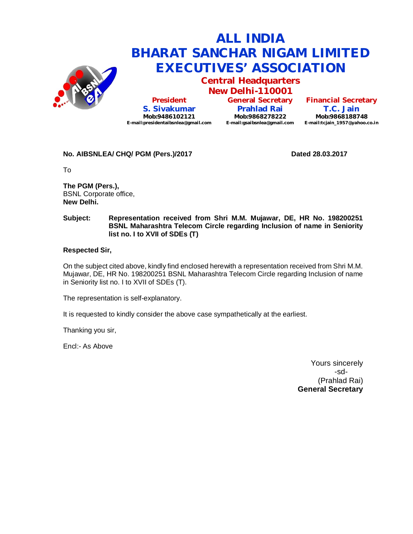

**Central Headquarters New Delhi-110001**

**President S. Sivakumar Mob:9486102121 E-mail:presidentaibsnlea@gmail.com**

**General Secretary Prahlad Rai Mob:9868278222 E-mail:gsaibsnlea@gmail.com**

**Financial Secretary T.C. Jain Mob:9868188748 E-mail:tcjain\_1957@yahoo.co.in**

**No. AIBSNLEA/ CHQ/ PGM (Pers.)/2017 Dated 28.03.2017** 

To

**The PGM (Pers.),** BSNL Corporate office, **New Delhi.**

### **Subject: Representation received from Shri M.M. Mujawar, DE, HR No. 198200251 BSNL Maharashtra Telecom Circle regarding Inclusion of name in Seniority list no. I to XVII of SDEs (T)**

### **Respected Sir,**

On the subject cited above, kindly find enclosed herewith a representation received from Shri M.M. Mujawar, DE, HR No. 198200251 BSNL Maharashtra Telecom Circle regarding Inclusion of name in Seniority list no. I to XVII of SDEs (T).

The representation is self-explanatory.

It is requested to kindly consider the above case sympathetically at the earliest.

Thanking you sir,

Encl:- As Above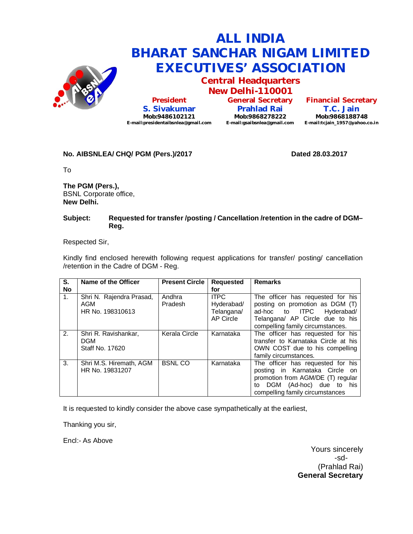

**Central Headquarters New Delhi-110001**

**President S. Sivakumar Mob:9486102121 E-mail:presidentaibsnlea@gmail.com** **General Secretary Prahlad Rai Mob:9868278222 E-mail:gsaibsnlea@gmail.com E-mail:tcjain\_1957@yahoo.co.in**

**Financial Secretary T.C. Jain Mob:9868188748**

### No. AIBSNLEA/ CHQ/ PGM (Pers.)/2017 **Dated 28.03.2017**

To

**The PGM (Pers.),** BSNL Corporate office, **New Delhi.**

### **Subject: Requested for transfer /posting / Cancellation /retention in the cadre of DGM– Reg.**

Respected Sir,

Kindly find enclosed herewith following request applications for transfer/ posting/ cancellation /retention in the Cadre of DGM - Reg.

| S.             | Name of the Officer                                   | <b>Present Circle</b> | <b>Requested</b>                                     | <b>Remarks</b>                                                                                                                                                               |
|----------------|-------------------------------------------------------|-----------------------|------------------------------------------------------|------------------------------------------------------------------------------------------------------------------------------------------------------------------------------|
| <b>No</b>      |                                                       |                       | for                                                  |                                                                                                                                                                              |
| 1 <sup>1</sup> | Shri N. Rajendra Prasad,<br>AGM<br>HR No. 198310613   | Andhra<br>Pradesh     | <b>ITPC</b><br>Hyderabad/<br>Telangana/<br>AP Circle | The officer has requested for his<br>posting on promotion as DGM (T)<br>ad-hoc to ITPC<br>Hyderabad/<br>Telangana/ AP Circle due to his<br>compelling family circumstances.  |
| 2.             | Shri R. Ravishankar,<br><b>DGM</b><br>Staff No. 17620 | Kerala Circle         | Karnataka                                            | The officer has requested for his<br>transfer to Karnataka Circle at his<br>OWN COST due to his compelling<br>family circumstances.                                          |
| 3.             | Shri M.S. Hiremath, AGM<br>HR No. 19831207            | <b>BSNLCO</b>         | Karnataka                                            | The officer has requested for his<br>posting in Karnataka Circle on<br>promotion from AGM/DE (T) regular<br>DGM (Ad-hoc) due to his<br>to<br>compelling family circumstances |

It is requested to kindly consider the above case sympathetically at the earliest,

Thanking you sir,

Encl:- As Above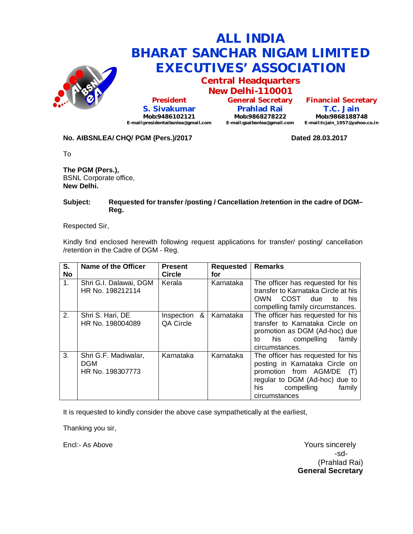

**Central Headquarters New Delhi-110001**

**President S. Sivakumar Mob:9486102121 E-mail:presidentaibsnlea@gmail.com**

**General Secretary Prahlad Rai Mob:9868278222 E-mail:gsaibsnlea@gmail.com**

**Financial Secretary T.C. Jain Mob:9868188748 E-mail:tcjain\_1957@yahoo.co.in**

## **No. AIBSNLEA/ CHQ/ PGM (Pers.)/2017 Dated 28.03.2017**

To

**The PGM (Pers.),** BSNL Corporate office, **New Delhi.**

### **Subject: Requested for transfer /posting / Cancellation /retention in the cadre of DGM– Reg.**

Respected Sir,

Kindly find enclosed herewith following request applications for transfer/ posting/ cancellation /retention in the Cadre of DGM - Reg.

| S.<br><b>No</b> | Name of the Officer                             | <b>Present</b><br><b>Circle</b> | <b>Requested</b><br>for | <b>Remarks</b>                                                                                                                                                                             |
|-----------------|-------------------------------------------------|---------------------------------|-------------------------|--------------------------------------------------------------------------------------------------------------------------------------------------------------------------------------------|
| 1.              | Shri G.I. Dalawai, DGM<br>HR No. 198212114      | Kerala                          | Karnataka               | The officer has requested for his<br>transfer to Karnataka Circle at his<br>COST.<br>OWN<br>due<br>his<br>t∩<br>compelling family circumstances.                                           |
| 2.              | Shri S. Hari, DE<br>HR No. 198004089            | &<br>Inspection<br>QA Circle    | Karnataka               | The officer has requested for his<br>transfer to Karnataka Circle on<br>promotion as DGM (Ad-hoc) due<br>his compelling<br>family<br>to<br>circumstances.                                  |
| 3.              | Shri G.F. Madiwalar,<br>DGM<br>HR No. 198307773 | Karnataka                       | Karnataka               | The officer has requested for his<br>posting in Karnataka Circle on<br>promotion from AGM/DE<br>$(\top)$<br>regular to DGM (Ad-hoc) due to<br>his<br>compelling<br>family<br>circumstances |

It is requested to kindly consider the above case sympathetically at the earliest,

Thanking you sir,

Encl:- As Above Yours sincerely -sd- (Prahlad Rai) **General Secretary**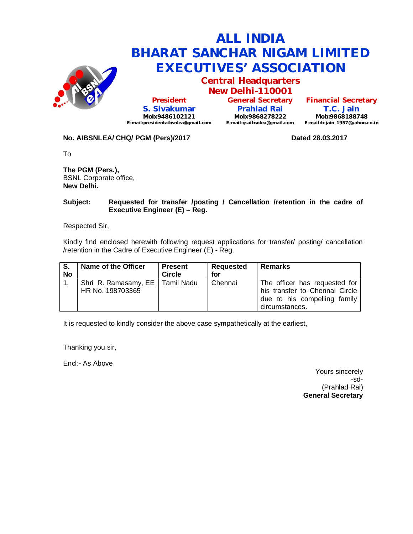

**Central Headquarters New Delhi-110001**

**President S. Sivakumar Mob:9486102121 E-mail:presidentaibsnlea@gmail.com**

**General Secretary Prahlad Rai Mob:9868278222 E-mail:gsaibsnlea@gmail.com**

**Financial Secretary T.C. Jain Mob:9868188748 E-mail:tcjain\_1957@yahoo.co.in**

## **No. AIBSNLEA/ CHQ/ PGM (Pers)/2017 Dated 28.03.2017**

To

**The PGM (Pers.),** BSNL Corporate office, **New Delhi.**

### **Subject: Requested for transfer /posting / Cancellation /retention in the cadre of Executive Engineer (E) – Reg.**

Respected Sir,

Kindly find enclosed herewith following request applications for transfer/ posting/ cancellation /retention in the Cadre of Executive Engineer (E) - Reg.

| S.<br><b>No</b> | Name of the Officer                                   | <b>Present</b><br>Circle | Requested<br>for | <b>Remarks</b>                                                                                                    |
|-----------------|-------------------------------------------------------|--------------------------|------------------|-------------------------------------------------------------------------------------------------------------------|
|                 | Shri R. Ramasamy, EE   Tamil Nadu<br>HR No. 198703365 |                          | Chennai          | The officer has requested for<br>his transfer to Chennai Circle<br>due to his compelling family<br>circumstances. |

It is requested to kindly consider the above case sympathetically at the earliest,

Thanking you sir,

Encl:- As Above